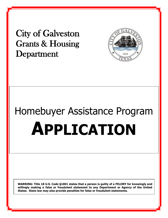City of Galveston Grants & Housing Department



# Homebuyer Assistance Program **APPLICATION**

**WARNING: Title 18 U.S. Code §1001 states that a person is guilty of a FELONY for knowingly and willingly making a false or fraudulent statement to any Department or Agency of the United States. State law may also provide penalties for false or fraudulent statements.**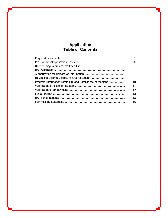## **Application Table of Contents**

|                                                         | 3  |
|---------------------------------------------------------|----|
|                                                         | 4  |
|                                                         | 5  |
|                                                         | 6  |
|                                                         | 8  |
|                                                         | 9  |
| Program Information Disclosure and Compliance Agreement | 10 |
|                                                         | 11 |
|                                                         | 12 |
|                                                         | 13 |
|                                                         | 14 |
|                                                         | 16 |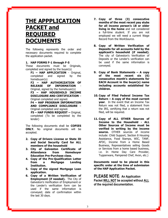## **THE APPPLICATION PACKET and REQUIRED DOCUMENTS**

The following represents the order and necessary documents required to complete the application packet.

#### **1. HAP FORMS F-1 through F-5**

These documents must be Originals, completed and signed by the buyer(s)

**F1 – HAP APPLICATION** - Original, completed and signed by the homebuyer(s)

**F2 – HAP AUTHORIZATION OF RELEASE OF INFORMATION** Original, signed by the homebuyer(s) **F3 – HAP HOUSEHOLD INCOME DISCLOSURE AND CERTIFICATION** – Original completed and signed.

**F4 – HAP PROGRAM INFORMATION AND COMPLIANCE DISCLOSURE** – Original completed and signed.

**F5 – HAP FUNDS REQUEST –** Original, completed (To be completed by the lender)

The following documents shall be **COPIES ONLY.** No original documents will be accepted.

- **2. Copy of Drivers License or State ID and Social Security Card for ALL members of the household**
- **3. City of Galveston Certificate of Attendance from Homebuyer Education Pre-Purchase class.**
- **4. Copy of the Pre-Qualification Letter from a Mortgage Lending Institution.**
- **5. Copy of the signed Mortgage Loan application.**
- **6. Copy of a Written Verification of Employment (if needed).** The City of Galveston's Verification of Employment or the Lender's verification form can be used if the same information is conveyed; date of confirmation within the last 30 days.
- **7. Copy of three (3) consecutive months of the most recent pay stubs for all income person's 18 or older living in the home** and not considered a full-time student. If you are not employed we will need a current Wage Record from the WorkSource.
- **8. Copy of Written Verification of Deposits for all accounts held by the applicant's household (if needed).**  The city of Galveston's Verification of Deposits or the Lender's verification can be used if the same information is conveyed.
- **9. Copy of Bank Statements – A copy of the most recent six (6) consecutive month's statements for EACH Account in the buyer(s) name including accounts established for children.**
- **10. Copy of Filed Federal Income Tax Return – A copy of the most current year**. In the event that an Income Tax Return was not filed, a statement from the IRS, certifying that a return was not filed, will be required.
- **11. Copy of ALL OTHER Sources of Income to the Household - ALL Other Sources of Income must be verified in writing by the income source.** OTHER sources of income include: Child Support, Section 8 Housing Assistance, Food Stamps, WIC, TANF, AFDC, Income from a Home Based Business, Representatives selling Goods or Services from a home based business, i.e. In Home Day Care Provider, Tupperware, Pampered Chef, Avon, etc.)

**Documents need to be placed in this specific order at the time of submission of the HAP Application Packet.**

**PLEASE NOTE: An Application Packet WILL NOT be accepted without ALL of the required documentation.**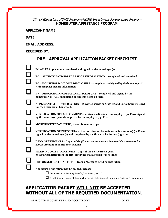## City of Galveston, HOME Program/HOME Investment Partnerships Program **HOMEBUYER ASSISTANCE PROGRAM**

|       | <b>APPLICANT NAME:</b>                                                                                                                                                                                                             |
|-------|------------------------------------------------------------------------------------------------------------------------------------------------------------------------------------------------------------------------------------|
| DATE: |                                                                                                                                                                                                                                    |
|       | <b>EMAIL ADDRESS:</b> The contract of the contract of the contract of the contract of the contract of the contract of the contract of the contract of the contract of the contract of the contract of the contract of the contract |
|       | <b>RECEIVED BY:</b><br><u> 1989 - Johann Harry Barn, mars ar yw y cynnwys y cynnwys y cynnwys y cynnwys y cynnwys y cynnwys y cynnwys y</u>                                                                                        |
|       | <b>PRE - APPROVAL APPLICATION PACKET CHECKLIST</b>                                                                                                                                                                                 |
|       | $F-1$ – HAP Application - completed and signed by the homebuyer(s)                                                                                                                                                                 |
|       | F-2 - AUTHORIZATION/RELEASE OF INFORMATION - completed and notarized                                                                                                                                                               |
|       | F-3 – HOUSEHOLD INCOME DISCLOSURE – completed and signed by the homebuyer(s)<br>with complete income information                                                                                                                   |
|       | F-4 – PROGRAM INFORMATION DISCLOSURE – completed and signed by the<br>homebuyer(s). ALL supporting documents noted on form.                                                                                                        |
|       | <b>APPLICANT(S) IDENTIFICATION - Driver's License or State ID and Social Security Card</b><br>for each member of household.                                                                                                        |
|       | VERIFICATION OF EMPLOYMENT – written verification from employer (or Form signed<br>by the homebuyer(s) and completed by the employer $(pg. 11)$ )                                                                                  |
|       | MOST RECENT PAY STUBS, three (3) months, copy.                                                                                                                                                                                     |
|       | <b>VERIFICATION OF DEPOSITS – written verification from financial institution(s) (or Form</b><br>signed by the homebuyer(s) and completed by the financial institution $(pg, 12)$ )                                                |
|       | BANK STATEMENTS – Copies of six (6) most recent consecutive month's statements for<br><b>EACH Account in homebuyer(s) name.</b>                                                                                                    |
|       | FILED INCOME TAX RETURN - Copy of the most current year.<br>$\Delta$ Notarized letter from the IRS, certifying that a return was not filed                                                                                         |
|       | PRE-QUALIFICATION LETTER from a Mortgage Lending Institution.                                                                                                                                                                      |
|       | Additional Verification may be needed such as:                                                                                                                                                                                     |
|       | Income (Social Security Benefit, Retirement, etc)                                                                                                                                                                                  |
|       | □ Child Support - copy of the court ordered Child Support Guideline Findings (if applicable)                                                                                                                                       |
|       | ADDI TCATTONI DACKET WITH NOT BE ACCEDTED                                                                                                                                                                                          |

## **APPLICATION PACKET WILL NOT BE ACCEPTED WITHOUT ALL OF THE REQUIRED DOCUMENTATION.**

APPLICATION COMPLETE AND ACCEPTED BY \_\_\_\_\_\_\_\_\_\_\_\_\_\_\_\_\_\_\_\_\_\_\_\_\_\_\_ DATE\_\_\_\_\_\_\_\_\_\_\_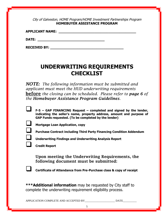City of Galveston, HOME Program/HOME Investment Partnerships Program **HOMEBUYER ASSISTANCE PROGRAM**

**APPLICANT NAME: \_\_\_\_\_\_\_\_\_\_\_\_\_\_\_\_\_\_\_\_\_\_\_\_\_\_\_\_\_\_\_\_\_\_\_\_\_**

**DATE: \_\_\_\_\_\_\_\_\_\_\_\_\_\_\_\_\_\_\_\_\_\_\_\_\_\_\_\_\_\_\_\_**

**RECEIVED BY: \_\_\_\_\_\_\_\_\_\_\_\_\_\_\_\_\_\_\_\_\_\_\_\_\_\_\_\_\_\_\_\_\_\_\_**

# **UNDERWRITING REQUIREMENTS CHECKLIST**

*NOTE: The following information must be submitted and applicant must meet the HUD underwriting requirements* before *the closing can be scheduled. Please refer to page 6 of the Homebuyer Assistance Program Guidelines.*

| $F-5$ – GAP FINANCING Request – completed and signed by the lender,<br>indicating the seller's name, property address, amount and purpose of<br>GAP Funds requested. (To be completed by the lender) |
|------------------------------------------------------------------------------------------------------------------------------------------------------------------------------------------------------|
|                                                                                                                                                                                                      |
|                                                                                                                                                                                                      |

- ❑ **Mortgage Loan Application, copy**
- 

❑ **Purchase Contract including Third Party Financing Condition Addendum**

❑ **Underwriting Findings and Underwriting Analysis Report**

❑ **Credit Report**

Upon meeting the Underwriting Requirements, the following document must be submitted:



❑ **Certificate of Attendance from Pre-Purchase class & copy of receipt**

**\*\*\*Additional information** may be requested by City staff to complete the underwriting requirement eligibility process.

APPLICATION COMPLETE AND ACCEPTED BY THE DATE

5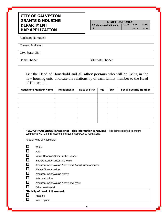## **CITY OF GALVESTON GRANTS & HOUSING DEPARTMENT HAP APPLICATION**

| <b>STAFF USE ONLY</b>  |         |          |           |  |
|------------------------|---------|----------|-----------|--|
| 12m/anticipated income | $%$ AMI | $0 - 30$ | $30 - 50$ |  |
|                        |         | 50-60    | 60-80     |  |

Applicant Names(s):

Current Address:

City, State, Zip:

Home Phone: Alternate Phone:

List the Head of Household and **all other persons** who will be living in the new housing unit. Indicate the relationship of each family member to the Head of Household.

| <b>Household Member Name</b> | Relationship | <b>Date of Birth</b> | Age | Sex | <b>Social Security Number</b> |
|------------------------------|--------------|----------------------|-----|-----|-------------------------------|
|                              |              |                      |     |     |                               |
|                              |              |                      |     |     |                               |
|                              |              |                      |     |     |                               |
|                              |              |                      |     |     |                               |
|                              |              |                      |     |     |                               |
|                              |              |                      |     |     |                               |

|        | HEAD OF HOUSEHOLD (Check one) - This information is required - it is being collected to ensure<br>compliance with the Fair Housing and Equal Opportunity regulations. |  |  |  |  |
|--------|-----------------------------------------------------------------------------------------------------------------------------------------------------------------------|--|--|--|--|
|        | Race of Head of Household:                                                                                                                                            |  |  |  |  |
| ◘      | White                                                                                                                                                                 |  |  |  |  |
| ◘      | Asian                                                                                                                                                                 |  |  |  |  |
| $\Box$ | Native Hawaiian/Other Pacific Islander                                                                                                                                |  |  |  |  |
| $\Box$ | Black/African American and White                                                                                                                                      |  |  |  |  |
| $\Box$ | American Indian/Alaska Native and Black/African American                                                                                                              |  |  |  |  |
| $\Box$ | Black/African American                                                                                                                                                |  |  |  |  |
| $\Box$ | American Indian/Alaska Native                                                                                                                                         |  |  |  |  |
| $\Box$ | Asian and White                                                                                                                                                       |  |  |  |  |
| ◘      | American Indian/Alaska Native and White                                                                                                                               |  |  |  |  |
| О      | Other Multi Racial                                                                                                                                                    |  |  |  |  |
|        | <b>Ethnicity of Head of Household:</b>                                                                                                                                |  |  |  |  |
| О      | Hispanic                                                                                                                                                              |  |  |  |  |
|        | Non-Hispanic                                                                                                                                                          |  |  |  |  |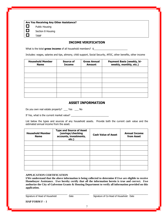**Are You Receiving Any Other Assistance?**

 $\Box$  Public Housing

 $\Box$  Section 8 Housing

 $\Box$  TANF

### **INCOME VERIFICATION**

What is the total **gross income** of all household members?  $\frac{1}{2}$ 

Includes: wages, salaries and tips, alimony, child support, Social Security, AFDC, other benefits, other income

| <b>Household Member</b><br><b>Name</b> | Source of<br><b>Income</b> | <b>Gross Annual</b><br><b>Amount</b> | <b>Payment Basis (weekly, bi-</b><br>weekly, monthly, etc.) |
|----------------------------------------|----------------------------|--------------------------------------|-------------------------------------------------------------|
|                                        |                            |                                      |                                                             |
|                                        |                            |                                      |                                                             |
|                                        |                            |                                      |                                                             |
|                                        |                            |                                      |                                                             |
|                                        |                            |                                      |                                                             |
|                                        |                            |                                      |                                                             |

## **ASSET INFORMATION**

Do you own real estate property? \_\_\_ Yes \_\_\_ No

If Yes, what is the current market value? \_\_\_\_\_\_\_\_\_\_\_\_\_\_\_\_\_\_\_\_\_\_\_\_\_\_\_\_

List below the types and sources of any household assets. Provide both the current cash value and the estimated annual income from the asset.

| <b>Household Member</b><br><b>Name</b> | <b>Type and Source of Asset</b><br>(savings/checking<br>accounts, investments,<br>etc.) | <b>Cash Value of Asset</b> | <b>Annual Income</b><br>from Asset |
|----------------------------------------|-----------------------------------------------------------------------------------------|----------------------------|------------------------------------|
|                                        |                                                                                         |                            |                                    |
|                                        |                                                                                         |                            |                                    |
|                                        |                                                                                         |                            |                                    |
|                                        |                                                                                         |                            |                                    |
|                                        |                                                                                         |                            |                                    |
|                                        |                                                                                         |                            |                                    |

#### **APPLICATION CERTIFICATION**

**I/We understand that the above information is being collected to determine if I/we are eligible to receive Homebuyer Assistance. I/we hereby certify that all the information herein is true and correct. I/we authorize the City of Galveston Grants & Housing Department to verify all information provided on this application.**

\_\_\_\_\_\_\_\_\_\_\_\_\_\_\_\_\_\_\_\_\_\_\_\_\_\_\_\_\_\_\_ \_\_\_\_\_\_\_\_\_\_\_\_\_\_\_ \_\_\_\_\_\_\_\_\_\_\_\_\_\_\_\_\_\_\_\_\_\_\_\_\_ \_\_\_\_\_\_\_\_\_\_\_\_\_\_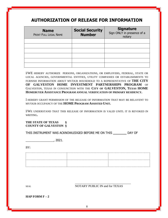## **AUTHORIZATION OF RELEASE FOR INFORMATION**

| <b>Name</b><br>PRINT FULL LEGAL NAME | <b>Social Security</b><br><b>Number</b> | <b>Signature</b><br>Sign ONLY in presence of a<br>notary |
|--------------------------------------|-----------------------------------------|----------------------------------------------------------|
|                                      |                                         |                                                          |
|                                      |                                         |                                                          |
|                                      |                                         |                                                          |
|                                      |                                         |                                                          |
|                                      |                                         |                                                          |
|                                      |                                         |                                                          |

I/WE HEREBY AUTHORIZE PERSONS, ORGANIZATIONS, OR EMPLOYERS, FEDERAL, STATE OR LOCAL AGENCIES, GOVERNMENTAL ENTITIES, UTILITY COMPANIES OR ESTABLISHMENTS TO FURNISH INFORMATION ABOUT MY/OUR HOUSEHOLD TO A REPRESENTATIVE OF **THE CITY OF GALVESTON HOME INVESTMENT PARTNERSHIPS PROGRAM** OF GALVESTON, TEXAS IN CONJUNCTION WITH THE **CITY OF GALVESTON, TEXAS HOME HOMEBUYER ASSISTANCE PROGRAM ANNUAL VERIFICATION OF PRIMARY RESIDENCY.**

I HEREBY GRANT PERMISSION OF THE RELEASE OF INFORMATION THAT MAY BE RELAVENT TO MY/OUR OCCUPANCY OF THE **HOME PROGRAM ASSISTED UNIT.**

I/WE UNDERSTAND THAT THIS RELEASE OF INFORMATION IS VALID UNITL IT IS REVOKED IN WRITING**.**

#### **THE STATE OF TEXAS § COUNTY OF GALVESTON §**

THIS INSTRUMENT WAS ACKNOWLEDGED BEFORE ME ON THIS **\_\_\_\_\_\_\_** DAY OF

\_\_\_\_\_\_\_\_\_\_\_\_\_\_\_\_\_, 2021.

BY:

| . |  |
|---|--|
|   |  |
|   |  |
|   |  |
|   |  |
|   |  |
|   |  |
|   |  |
|   |  |
|   |  |
|   |  |
|   |  |
|   |  |
|   |  |
|   |  |

SEAL NOTARY PUBLIC IN and for TEXAS

\_\_\_\_\_\_\_\_\_\_\_\_\_\_\_\_\_\_\_\_\_\_\_\_\_\_\_\_\_\_\_\_\_\_\_\_\_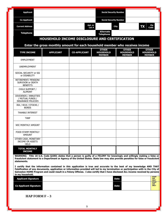| <b>Applicant</b>                                                                                                                                                                                                                                                                                                                                                                                                                                                                                                                                                                                                                                                                    |                                                                              |                     | <b>Social Security Number</b>                     |                                                   |                                                          |
|-------------------------------------------------------------------------------------------------------------------------------------------------------------------------------------------------------------------------------------------------------------------------------------------------------------------------------------------------------------------------------------------------------------------------------------------------------------------------------------------------------------------------------------------------------------------------------------------------------------------------------------------------------------------------------------|------------------------------------------------------------------------------|---------------------|---------------------------------------------------|---------------------------------------------------|----------------------------------------------------------|
| <b>Co-Applicant</b>                                                                                                                                                                                                                                                                                                                                                                                                                                                                                                                                                                                                                                                                 |                                                                              |                     | <b>Social Security Number</b>                     |                                                   |                                                          |
| <b>Current Address</b>                                                                                                                                                                                                                                                                                                                                                                                                                                                                                                                                                                                                                                                              |                                                                              | Apt. or<br>Lot $#$  |                                                   | <b>City</b>                                       | Zip<br><b>TX</b><br>Code                                 |
| <b>Telephone</b>                                                                                                                                                                                                                                                                                                                                                                                                                                                                                                                                                                                                                                                                    |                                                                              |                     | Alternate<br><b>Telephone</b>                     |                                                   |                                                          |
|                                                                                                                                                                                                                                                                                                                                                                                                                                                                                                                                                                                                                                                                                     | HOUSEHOLD INCOME DISCLOSURE AND CERTIFICATION                                |                     |                                                   |                                                   |                                                          |
|                                                                                                                                                                                                                                                                                                                                                                                                                                                                                                                                                                                                                                                                                     | Enter the gross monthly amount for each household member who receives income |                     |                                                   |                                                   |                                                          |
| <b>TYPE INCOME</b>                                                                                                                                                                                                                                                                                                                                                                                                                                                                                                                                                                                                                                                                  | <b>APPLICANT</b>                                                             | <b>CO-APPLICANT</b> | <b>OTHER</b><br><b>HOUSEHOLD</b><br><b>MEMBER</b> | <b>OTHER</b><br><b>HOUSEHOLD</b><br><b>MEMBER</b> | <b>OTHER</b><br><b>HOUSEHOLD</b><br><b>MEMBER</b>        |
| <b>EMPLOYMENT</b>                                                                                                                                                                                                                                                                                                                                                                                                                                                                                                                                                                                                                                                                   |                                                                              |                     |                                                   |                                                   |                                                          |
| <b>UNEMPLOYMENT</b>                                                                                                                                                                                                                                                                                                                                                                                                                                                                                                                                                                                                                                                                 |                                                                              |                     |                                                   |                                                   |                                                          |
| SOCIAL SECURITY or SSI<br>or DISABILITY                                                                                                                                                                                                                                                                                                                                                                                                                                                                                                                                                                                                                                             |                                                                              |                     |                                                   |                                                   |                                                          |
| RETIREMENT/ PENSION/<br>SURVIVOR or DEATH<br><b>BENEFITS</b>                                                                                                                                                                                                                                                                                                                                                                                                                                                                                                                                                                                                                        |                                                                              |                     |                                                   |                                                   |                                                          |
| CHILD SUPPORT /<br><b>ALIMONY</b>                                                                                                                                                                                                                                                                                                                                                                                                                                                                                                                                                                                                                                                   |                                                                              |                     |                                                   |                                                   |                                                          |
| DIVIDENDS / ANNUITIES<br>/ MUTUAL FUNDS /<br><b>INSURANCE POLICIES</b>                                                                                                                                                                                                                                                                                                                                                                                                                                                                                                                                                                                                              |                                                                              |                     |                                                   |                                                   |                                                          |
| IRA / 401K / STOCKS /<br><b>BONDS</b>                                                                                                                                                                                                                                                                                                                                                                                                                                                                                                                                                                                                                                               |                                                                              |                     |                                                   |                                                   |                                                          |
| <b>TAXABLE INTEREST</b>                                                                                                                                                                                                                                                                                                                                                                                                                                                                                                                                                                                                                                                             |                                                                              |                     |                                                   |                                                   |                                                          |
| <b>TANF</b>                                                                                                                                                                                                                                                                                                                                                                                                                                                                                                                                                                                                                                                                         |                                                                              |                     |                                                   |                                                   |                                                          |
| <b>WIC MONTHLY AMOUNT</b>                                                                                                                                                                                                                                                                                                                                                                                                                                                                                                                                                                                                                                                           |                                                                              |                     |                                                   |                                                   |                                                          |
| FOOD STAMP MONTHLY<br><b>AMOUNT</b>                                                                                                                                                                                                                                                                                                                                                                                                                                                                                                                                                                                                                                                 |                                                                              |                     |                                                   |                                                   |                                                          |
| OTHER CASH, MONETARY<br><b>INCOME OR ASSETS</b><br><b>HELD</b>                                                                                                                                                                                                                                                                                                                                                                                                                                                                                                                                                                                                                      |                                                                              |                     |                                                   |                                                   |                                                          |
| <b>TOTAL MONTHLY</b><br><b>INCOME</b>                                                                                                                                                                                                                                                                                                                                                                                                                                                                                                                                                                                                                                               |                                                                              |                     |                                                   |                                                   |                                                          |
| WARNING: Title 18 U.S. Code §1001 states that a person is guilty of a FELONY for knowingly and willingly making a false or<br>fraudulent statement to a Department or Agency of the United States. State law may also provide penalties for false or fraudulent<br>statements.<br>I certify that the information contained in this application is true and accurate to the best of my knowledge AND THAT<br>Falsification of any documents, application or information provided will led to my termination or participation with in the City of<br>Galveston HOME Program and could result in a Felony Offense. I also certify that I have disclosed ALL income received by persons |                                                                              |                     |                                                   |                                                   |                                                          |
| in my household.<br><b>Applicant Signature</b>                                                                                                                                                                                                                                                                                                                                                                                                                                                                                                                                                                                                                                      |                                                                              |                     |                                                   | <b>Date</b>                                       | <b>STAFF</b><br><b>USE</b>                               |
| <b>Co-Applicant Signature</b>                                                                                                                                                                                                                                                                                                                                                                                                                                                                                                                                                                                                                                                       |                                                                              |                     |                                                   | Date                                              | <b>ONLY</b><br><b>STAFF</b><br><b>USE</b><br><b>ONLY</b> |
| HAP FORM $F - 3$                                                                                                                                                                                                                                                                                                                                                                                                                                                                                                                                                                                                                                                                    |                                                                              |                     |                                                   |                                                   |                                                          |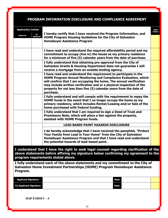## **PROGRAM INFORMATION DISCLOSURE AND COMPLIANCE AGREEMENT**

| <b>Applicant(s) Initials</b>  |                                                                                                                                                                                                                     |                                                                                                                                                                                                                                                                                                                                                                       |  |  |  |
|-------------------------------|---------------------------------------------------------------------------------------------------------------------------------------------------------------------------------------------------------------------|-----------------------------------------------------------------------------------------------------------------------------------------------------------------------------------------------------------------------------------------------------------------------------------------------------------------------------------------------------------------------|--|--|--|
| <b>Applicant</b>              | $Co-$<br><b>Applicant</b>                                                                                                                                                                                           | I hereby certify that I have received the Program Information, and<br><b>HOME Program Housing Guidelines for the City of Galveston</b>                                                                                                                                                                                                                                |  |  |  |
|                               |                                                                                                                                                                                                                     | <b>Homebuyer Assistance Program</b>                                                                                                                                                                                                                                                                                                                                   |  |  |  |
|                               |                                                                                                                                                                                                                     | I have read and understand the required affordability period and my<br>commitment to occupy (live in) the house as my primary residence<br>for a minimum of five (5) calendar years from the date of purchase.                                                                                                                                                        |  |  |  |
|                               |                                                                                                                                                                                                                     | I fully understand that obtaining pre-approval from the City of<br><b>Galveston Grants &amp; Housing Department does not guarantee I will</b><br>receive a mortgage from an outside lending agency.                                                                                                                                                                   |  |  |  |
|                               |                                                                                                                                                                                                                     | I have read and understand the requirement to participate in the<br>HOME Program Annual Monitoring and Compliance Evaluation, which<br>will confirm that I am occupying the home. The annual verification<br>may include written verification and or a physical inspection of the<br>property for not less than five (5) calendar years from the date of<br>purchase. |  |  |  |
|                               |                                                                                                                                                                                                                     | I fully understand and will comply with the requirement to repay the<br>HOME funds in the event that I no longer occupy the home as my<br>primary residency, which includes Rental/Leasing and/or Sale of the<br>home purchased with Federal funding.                                                                                                                 |  |  |  |
|                               |                                                                                                                                                                                                                     | I fully understand that I am required to sign a Deed of Trust and<br>Promissory Note, which will place a lien against the property,<br>assisted with HOME Program funds.                                                                                                                                                                                              |  |  |  |
|                               |                                                                                                                                                                                                                     | <b>LEAD BASED PAINT HAZARDS DISCLOSURE</b>                                                                                                                                                                                                                                                                                                                            |  |  |  |
|                               |                                                                                                                                                                                                                     | I do hereby acknowledge that I have received the pamphlet, "Protect<br>Your Family from Lead in Your Home" from the City of Galveston<br>Homebuyer Assistance Program and that I have read and understand<br>the potential hazards of lead-based paint.                                                                                                               |  |  |  |
|                               | I understand that I have the right to seek legal counsel regarding clarification of the<br>above statements before affixing my signature below confirming my agreement to the<br>program requirements stated above. |                                                                                                                                                                                                                                                                                                                                                                       |  |  |  |
| Program.                      |                                                                                                                                                                                                                     | I fully understand each of the above statements and my commitment to the City of<br>Galveston Home Investment Partnerships (HOME) Program Homebuyer Assistance                                                                                                                                                                                                        |  |  |  |
| <b>Applicant Signature</b>    |                                                                                                                                                                                                                     | <b>Date</b>                                                                                                                                                                                                                                                                                                                                                           |  |  |  |
| <b>Co-Applicant Signature</b> |                                                                                                                                                                                                                     | Date                                                                                                                                                                                                                                                                                                                                                                  |  |  |  |
|                               |                                                                                                                                                                                                                     |                                                                                                                                                                                                                                                                                                                                                                       |  |  |  |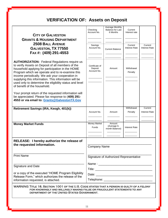# **VERIFICATION OF: Assets on Deposit**

| <b>CITY OF GALVESTON</b><br><b>GRANTS &amp; HOUSING DEPARTMENT</b><br><b>2508 BALL AVENUE</b><br>GALVESTON, TX 77550<br>FAX#: (409) 291-4553                                                                                                                                                                                                                                                                           | Checking<br>Account No.<br>Savings<br>Account No. | Average Monthly<br><b>Balance for Last</b><br>6 Months<br><b>Current Balance</b> | Current<br>Interest rate<br>Current<br>Interest Rate | Current<br><b>Interest Rate</b> |
|------------------------------------------------------------------------------------------------------------------------------------------------------------------------------------------------------------------------------------------------------------------------------------------------------------------------------------------------------------------------------------------------------------------------|---------------------------------------------------|----------------------------------------------------------------------------------|------------------------------------------------------|---------------------------------|
| <b>AUTHORIZATION:</b> Federal Regulations require us<br>to verify Assets on Deposit of all members of the<br>household applying for participation in the HOME<br>Program which we operate and to re-examine this<br>income periodically. We ask your cooperation in<br>supplying this information. This information will be<br>used only to determine the eligibility status and level<br>of benefit of the household. | Certificate of<br>Deposit<br>Account No.          | Amount                                                                           | Withdrawal<br>Penalty                                |                                 |
| Your prompt return of the requested information will<br>be appreciated. Please fax response to (409) 291-<br>4553 or via email to: Grants@GalvestonTX.Gov                                                                                                                                                                                                                                                              |                                                   |                                                                                  |                                                      |                                 |
| Retirement Savings (IRA, Keogh, 401(k))                                                                                                                                                                                                                                                                                                                                                                                | Account No.                                       | Amount                                                                           | Withdrawal<br>Penalty                                | Current<br><b>Interest Rate</b> |
| <b>Money Market Funds</b>                                                                                                                                                                                                                                                                                                                                                                                              | Money Market<br><b>Funds</b>                      | Amount<br>(Average 6-<br>month Balance)                                          | <b>Interest Rate</b>                                 |                                 |
| RELEASE: I hereby authorize the release of<br>the requested information.                                                                                                                                                                                                                                                                                                                                               | <b>Company Name</b>                               |                                                                                  |                                                      |                                 |
| <b>Print Name</b>                                                                                                                                                                                                                                                                                                                                                                                                      | Signature of Authorized Representative            |                                                                                  |                                                      |                                 |
| <b>Signature and Date</b>                                                                                                                                                                                                                                                                                                                                                                                              |                                                   |                                                                                  |                                                      |                                 |
| or a copy of the executed "HOME Program Eligibility<br>Release Form," which authorizes the release of the<br>information requested, is attached.                                                                                                                                                                                                                                                                       | Telephone: ________________________________       |                                                                                  |                                                      |                                 |
| WARNING: TITLE 18, SECTION 1001 OF THE U.S. CODE STATES THAT A PERSON IS GUILTY OF A FELONY<br>FOR KNOWINGLY AND WILLINGLY MAKING FALSE OR FRAUDULENT STATEMENTS TO ANY<br>DEPARTMENT OF THE UNITED STATES GOVERNMENT.                                                                                                                                                                                                 |                                                   |                                                                                  |                                                      |                                 |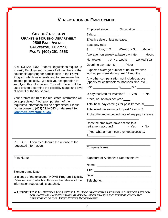## **VERIFICATION OF EMPLOYMENT**

| <b>CITY OF GALVESTON</b><br><b>GRANTS &amp; HOUSING DEPARTMENT</b><br><b>2508 BALL AVENUE</b><br><b>GALVESTON, TX 77550</b><br>FAX#: (409) 291-4553<br><b>AUTHORIZATION: Federal Regulations require us</b><br>to verify Employment Income of all members of the<br>household applying for participation in the HOME<br>Program which we operate and to reexamine this<br>income periodically. We ask your cooperation in<br>supplying this information. This information will be<br>used only to determine the eligibility status and level<br>of benefit of the household.<br>Your prompt return of the requested information will<br>be appreciated. Your prompt return of the<br>requested information will be appreciated. Please<br>fax response to (409) 291-4553 or via email to:<br>Grants@GalvestonTX.Gov | Employed since: _______ Occupation: __________<br>Salary: ________________<br>Effective date of last increase: _________<br>Base pay rate:<br>\$_____/Hour; or \$_____/Week; or \$____/Month<br>Average hours/week at base pay rate: ____ Hours<br>No. weeks ____, or No. weeks ____ worked/Year<br>Overtime pay rate: \$______/Hour<br>Expected average number of hours overtime<br>worked per week during next 12 months<br>Any other compensation not included above<br>(specify for commissions, bonuses, tips, etc.):<br>Is pay received for vacation? • Yes • No<br>If Yes, no. of days per year ____<br>Total base pay earnings for past 12 mos. \$<br>Total overtime earnings for past 12 mos. \$ |  |  |  |
|---------------------------------------------------------------------------------------------------------------------------------------------------------------------------------------------------------------------------------------------------------------------------------------------------------------------------------------------------------------------------------------------------------------------------------------------------------------------------------------------------------------------------------------------------------------------------------------------------------------------------------------------------------------------------------------------------------------------------------------------------------------------------------------------------------------------|-----------------------------------------------------------------------------------------------------------------------------------------------------------------------------------------------------------------------------------------------------------------------------------------------------------------------------------------------------------------------------------------------------------------------------------------------------------------------------------------------------------------------------------------------------------------------------------------------------------------------------------------------------------------------------------------------------------|--|--|--|
|                                                                                                                                                                                                                                                                                                                                                                                                                                                                                                                                                                                                                                                                                                                                                                                                                     | Probability and expected date of any pay increase:<br>Does the employee have access to a<br>retirement account?<br>$\bullet$ Yes<br>$\cdot$ No                                                                                                                                                                                                                                                                                                                                                                                                                                                                                                                                                            |  |  |  |
|                                                                                                                                                                                                                                                                                                                                                                                                                                                                                                                                                                                                                                                                                                                                                                                                                     | If Yes, what amount can they get access to:<br>$\frac{1}{2}$                                                                                                                                                                                                                                                                                                                                                                                                                                                                                                                                                                                                                                              |  |  |  |
| RELEASE: I hereby authorize the release of the<br>requested information.                                                                                                                                                                                                                                                                                                                                                                                                                                                                                                                                                                                                                                                                                                                                            | <b>Company Name</b>                                                                                                                                                                                                                                                                                                                                                                                                                                                                                                                                                                                                                                                                                       |  |  |  |
| <b>Print Name</b>                                                                                                                                                                                                                                                                                                                                                                                                                                                                                                                                                                                                                                                                                                                                                                                                   | Signature of Authorized Representative                                                                                                                                                                                                                                                                                                                                                                                                                                                                                                                                                                                                                                                                    |  |  |  |
| <b>Signature and Date</b>                                                                                                                                                                                                                                                                                                                                                                                                                                                                                                                                                                                                                                                                                                                                                                                           |                                                                                                                                                                                                                                                                                                                                                                                                                                                                                                                                                                                                                                                                                                           |  |  |  |
| or a copy of the executed "HOME Program Eligibility<br>Release Form," which authorizes the release of the<br>information requested, is attached.                                                                                                                                                                                                                                                                                                                                                                                                                                                                                                                                                                                                                                                                    |                                                                                                                                                                                                                                                                                                                                                                                                                                                                                                                                                                                                                                                                                                           |  |  |  |
| WARNING: TITLE 18, SECTION 1001 OF THE U.S. CODE STATES THAT A PERSON IS GUILTY OF A FELONY<br>FOR KNOWINGLY AND WILLINGLY MAKING FALSE OR FRAUDULENT STATEMENTS TO ANY<br>DEPARTMENT OF THE UNITED STATES GOVERNMENT.                                                                                                                                                                                                                                                                                                                                                                                                                                                                                                                                                                                              |                                                                                                                                                                                                                                                                                                                                                                                                                                                                                                                                                                                                                                                                                                           |  |  |  |
|                                                                                                                                                                                                                                                                                                                                                                                                                                                                                                                                                                                                                                                                                                                                                                                                                     | 12                                                                                                                                                                                                                                                                                                                                                                                                                                                                                                                                                                                                                                                                                                        |  |  |  |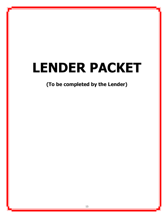# **LENDER PACKET**

**(To be completed by the Lender)**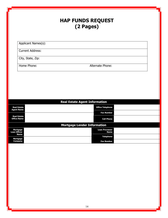## **HAP FUNDS REQUEST (2 Pages)**

Applicant Names(s):

Current Address:

City, State, Zip:

Home Phone: Alternate Phone:

| <b>Real Estate Agent Information</b>      |                                      |  |
|-------------------------------------------|--------------------------------------|--|
| <b>Real Estate</b><br><b>Agent Name</b>   | <b>Office Telephone</b>              |  |
|                                           | <b>Fax Number</b>                    |  |
| <b>Real Estate</b><br><b>Office Name</b>  | <b>Cell Phone</b>                    |  |
| <b>Mortgage Lender Information</b>        |                                      |  |
| Mortgage<br><b>Loan Officer</b>           | <b>Loan Processor</b><br><b>Name</b> |  |
| <b>Name</b><br><b>Mortgage</b><br>Company | <b>Telephone</b>                     |  |
|                                           | <b>Fax Number</b>                    |  |
|                                           |                                      |  |
|                                           |                                      |  |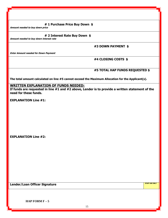**# 1 Purchase Price Buy Down \$**

**Amount needed to buy down price**

#### **# 2 Interest Rate Buy Down \$**

**Amount needed to buy down interest rate**

## **#3 DOWN PAYMENT \$**

**Enter Amount needed for Down Payment**

## **#4 CLOSING COSTS \$**

### **#5 TOTAL HAP FUNDS REQUESTED \$**

**The total amount calculated on line #5 cannot exceed the Maximum Allocation for the Applicant(s).**

## **WRITTEN EXPLANATION OF FUNDS NEEDED:**

**If funds are requested in line #1 and #2 above, Lender is to provide a written statement of the need for these funds.**

**EXPLANATION Line #1:**

**EXPLANATION Line #2:**

**Lender/Loan Officer Signature STAFF USE ONLY**